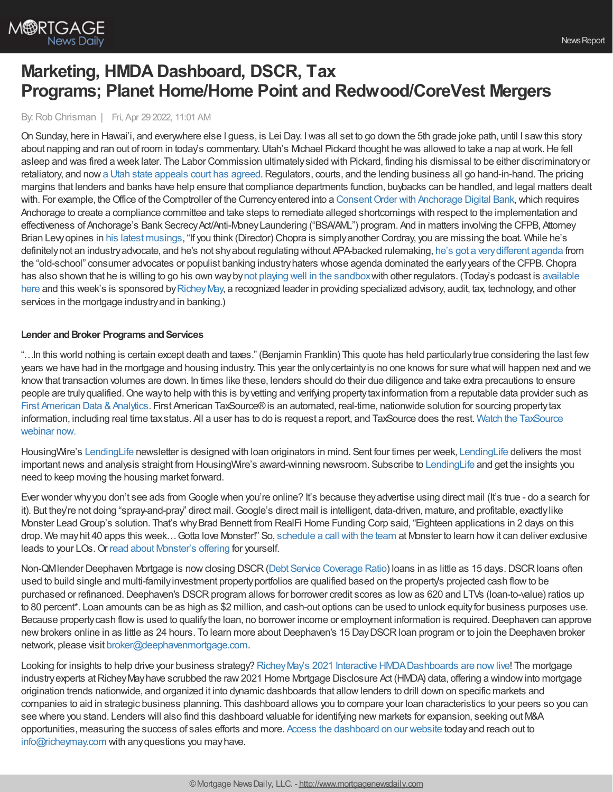

# **Marketing, HMDA Dashboard, DSCR, Tax Programs; Planet Home/Home Point and Redwood/CoreVest Mergers**

#### By:Rob Chrisman | Fri, Apr 29 2022, 11:01 AM

On Sunday, here in Hawai'i, and everywhere else I guess, is Lei Day. Iwas all set to go down the 5th grade joke path, until I sawthis story about napping and ran out of room in today's commentary. Utah's Michael Pickard thought he was allowed to take a nap at work. He fell asleep and was fired a week later. The Labor Commission ultimatelysided with Pickard, finding his dismissal to be either discriminatoryor retaliatory, and now a Utah state [appeals](https://floridalawtv.com/national-law-news/law-com/utah-appeals-court-employer-must-pay-for-failure-to-consistently-apply-its-napping-policy/) court has agreed. Regulators, courts, and the lending business all go hand-in-hand. The pricing margins that lenders and banks have help ensure that compliance departments function, buybacks can be handled, and legal matters dealt with. For example, the Office of the Comptroller of the Currency entered into a Consent Order with Anchorage Digital Bank, which requires Anchorage to create a compliance committee and take steps to remediate alleged shortcomings with respect to the implementation and effectiveness of Anchorage's Bank Secrecy Act/Anti-Money Laundering ("BSA/AML") program. And in matters involving the CFPB, Attorney Brian Levyopines in his latest [musings](https://mortgagemusings.com/f/ed-45-chopra-and-unfair-criticism), "If you think (Director) Chopra is simplyanother Cordray, you are missing the boat. While he's definitelynot an industryadvocate, and he's not shyabout regulating without APA-backed rulemaking, he's got a [verydifferent](https://mortgagemusings.com/f/ed-44-praising-chopra) agenda from the "old-school" consumer advocates or populist banking industryhaters whose agenda dominated the earlyyears of the CFPB.Chopra has also shown that he is willing to go his own waybynot playing well in the [sandbox](https://mortgagemusings.com/f/ed39-fdic-v-cfpb---no-comity-tonight)with other regulators. (Today's podcast is available here and this week's is sponsored by Richey May, a recognized leader in providing specialized advisory, audit, tax, technology, and other services in the mortgage industry and in banking.)

#### **Lender and Broker Programs and Services**

"…In this world nothing is certain except death and taxes." (Benjamin Franklin) This quote has held particularlytrue considering the last few years we have had in the mortgage and housing industry. This year the only certainty is no one knows for sure what will happen next and we knowthat transaction volumes are down. In times like these, lenders should do their due diligence and take extra precautions to ensure people are truly qualified. One way to help with this is by vetting and verifying property tax information from a reputable data provider such as First American Data & Analytics. First American TaxSource® is an automated, real-time, nationwide solution for sourcing property tax [information,](https://hubs.ly/Q018PFKh0) including real time taxstatus. All a user has to do is request a report, and TaxSource does the rest. Watch the TaxSource webinar now.

HousingWire's [LendingLife](https://go.housingwire.com/lendinglife?utm_source=email&utm_medium=rob_chrisman&utm_campaign=ll_429) newsletter is designed with loan originators in mind. Sent four times per week, [LendingLife](https://go.housingwire.com/lendinglife?utm_source=email&utm_medium=rob_chrisman&utm_campaign=ll_429) delivers the most important news and analysis straight from HousingWire's award-winning newsroom. Subscribe to [LendingLife](https://go.housingwire.com/lendinglife?utm_source=email&utm_medium=rob_chrisman&utm_campaign=ll_429) and get the insights you need to keep moving the housing market forward.

Ever wonder whyyou don't see ads from Google when you're online? It's because theyadvertise using direct mail (It's true - do a search for it). But they're not doing "spray-and-pray" direct mail. Google's direct mail is intelligent, data-driven, mature, and profitable, exactly like Monster LeadGroup's solution. That's whyBrad Bennett from RealFi Home Funding Corp said, "Eighteen applications in 2 days on this drop. We mayhit 40 apps this week…Gotta love Monster!" So, [schedule](https://www.monsterleadgroup.com/demo?utm_medium=email&utm_source=Chrisman&utm_campaign=Chrisman+Newsletter&utm_content=Chrisman+Ad+2022-04-29) a call with the team at Monster to learn howit can deliver exclusive leads to your LOs.Or read about [Monster's](https://www.monsterleadgroup.com/turnkey/mortgage-marketing?utm_medium=email&utm_source=Chrisman&utm_campaign=Chrisman+Newsletter&utm_content=Chrisman+Ad+2022-04-29) offering for yourself.

Non-QMIender Deephaven Mortgage is now closing DSCR (Debt Service [Coverage](https://deephavenmortgage.com/dscr-loans/) Ratio) loans in as little as 15 days. DSCR loans often used to build single and multi-familyinvestment propertyportfolios are qualified based on the property's projected cash flowto be purchased or refinanced. Deephaven's DSCR program allows for borrower credit scores as low as 620 and LTVs (loan-to-value) ratios up to 80 percent\*. Loan amounts can be as high as \$2 million, and cash-out options can be used to unlock equityfor business purposes use. Because property cash flow is used to qualify the loan, no borrower income or employment information is required. Deephaven can approve new brokers online in as little as 24 hours. To learn more about Deephaven's 15 Day DSCR loan program or to join the Deephaven broker network, please visit [broker@deephavenmortgage.com.](mailto:broker@deephavenmortgage.com)

Looking for insights to help drive your business strategy? Richey May's 2021 Interactive [HMDADashboards](https://richeymay.com/insights/hmda-market-share-dashboards/) are now live! The mortgage industry experts at Richey May have scrubbed the raw 2021 Home Mortgage Disclosure Act (HMDA) data, offering a window into mortgage origination trends nationwide, and organized it into dynamic dashboards that allowlenders to drill down on specific markets and companies to aid in strategic business planning. This dashboard allows you to compare your loan characteristics to your peers so you can see where you stand. Lenders will also find this dashboard valuable for identifying new markets for expansion, seeking out M&A opportunities, measuring the success of sales efforts and more. Access the [dashboard](https://richeymay.com/insights/hmda-market-share-dashboards/) on our website todayand reach out to [info@richeymay.com](mailto:info@richeymay.com) with anyquestions you mayhave.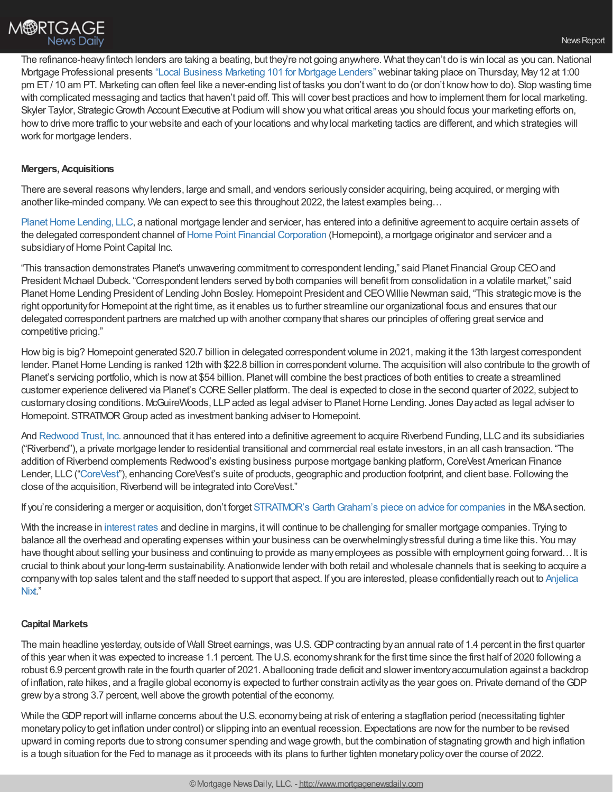

The refinance-heavy fintech lenders are taking a beating, but they're not going anywhere. What they can't do is win local as you can. National Mortgage Professional presents "Local Business [Marketing](https://register.gotowebinar.com/register/5454223509752659213?source=Chrisman) 101 for Mortgage Lenders" webinar taking place on Thursday, May12 at 1:00 pm ET/10 am PT. Marketing can often feel like a never-ending list of tasks you don't want to do (or don't know how to do). Stop wasting time with complicated messaging and tactics that haven't paid off. This will cover best practices and howto implement them for local marketing. Skyler Taylor, Strategic Growth Account Executive at Podium will show you what critical areas you should focus your marketing efforts on, howto drive more traffic to your website and each of your locations and whylocal marketing tactics are different, and which strategies will work for mortgage lenders.

## **Mergers,Acquisitions**

There are several reasons whylenders, large and small, and vendors seriouslyconsider acquiring, being acquired, or merging with another like-minded company. We can expect to see this throughout 2022, the latest examples being…

Planet Home Lending, LLC, a national mortgage lender and servicer, has entered into a definitive agreement to acquire certain assets of the delegated correspondent channel of Home Point Financial [Corporation](https://www.homepointfinancial.com/) (Homepoint), a mortgage originator and servicer and a subsidiary of Home Point Capital Inc.

"This transaction demonstrates Planet's unwavering commitment to correspondent lending," said Planet Financial Group CEOand President Michael Dubeck. "Correspondent lenders served byboth companies will benefit from consolidation in a volatile market," said Planet Home Lending President of Lending John Bosley. Homepoint President and CEO Willie Newman said, "This strategic move is the right opportunityfor Homepoint at the right time, as it enables us to further streamline our organizational focus and ensures that our delegated correspondent partners are matched up with another companythat shares our principles of offering great service and competitive pricing."

Howbig is big? Homepoint generated \$20.7 billion in delegated correspondent volume in 2021, making it the 13th largest correspondent lender. Planet Home Lending is ranked 12th with \$22.8 billion in correspondent volume. The acquisition will also contribute to the growth of Planet's servicing portfolio, which is now at \$54 billion. Planet will combine the best practices of both entities to create a streamlined customer experience delivered via Planet's CORESeller platform. The deal is expected to close in the second quarter of 2022, subject to customaryclosing conditions. McGuireWoods, LLPacted as legal adviser to PlanetHome Lending. Jones Dayacted as legal adviser to Homepoint. STRATMOR Group acted as investment banking adviser to Homepoint.

And [Redwood](https://ir.redwoodtrust.com/news/news-details/2022/Redwood-Trust-Announces-Strategic-Acquisition-of-Riverbend-Lending/default.aspx) Trust, Inc. announced that it has entered into a definitive agreement to acquire Riverbend Funding, LLC and its subsidiaries ("Riverbend"), a private mortgage lender to residential transitional and commercial real estate investors, in an all cash transaction. "The addition of Riverbend complements Redwood's existing business purpose mortgage banking platform, CoreVest American Finance Lender, LLC (["CoreVest](http://www.corevestfinance.com)"), enhancing CoreVest's suite of products, geographic and production footprint, and client base. Following the close of the acquisition, Riverbend will be integrated into CoreVest."

If you're considering a merger or acquisition, don't forget STRATMOR's Garth Graham's piece on advice for companies in the M&A section.

With the increase in [interest](https://www.mortgagenewsdaily.com/mortgage-rates) rates and decline in margins, itwill continue to be challenging for smaller mortgage companies. Trying to balance all the overhead and operating expenses within your business can be overwhelminglystressful during a time like this. You may have thought about selling your business and continuing to provide as many employees as possible with employment going forward... It is crucial to think about your long-term sustainability. Anationwide lender with both retail and wholesale channels that is seeking to acquire a company with top sales talent and the staff needed to support that aspect. If you are interested, please confidentially reach out to Anjelica Nixt."

## **Capital Markets**

The main headline yesterday, outside of Wall Street earnings, was U.S. GDP contracting by an annual rate of 1.4 percent in the first quarter of this year when itwas expected to increase 1.1 percent. The U.S. economyshrank for the first time since the first half of 2020 following a robust 6.9 percent growth rate in the fourth quarter of 2021. Aballooning trade deficit and slower inventoryaccumulation against a backdrop of inflation, rate hikes, and a fragile global economyis expected to further constrain activityas the year goes on. Private demand of theGDP grew by a strong 3.7 percent, well above the growth potential of the economy.

While the GDP report will inflame concerns about the U.S. economy being at risk of entering a stagflation period (necessitating tighter monetarypolicyto get inflation under control) or slipping into an eventual recession. Expectations are nowfor the number to be revised upward in coming reports due to strong consumer spending and wage growth, but the combination of stagnating growth and high inflation is a tough situation for the Fed to manage as it proceeds with its plans to further tighten monetarypolicyover the course of 2022.